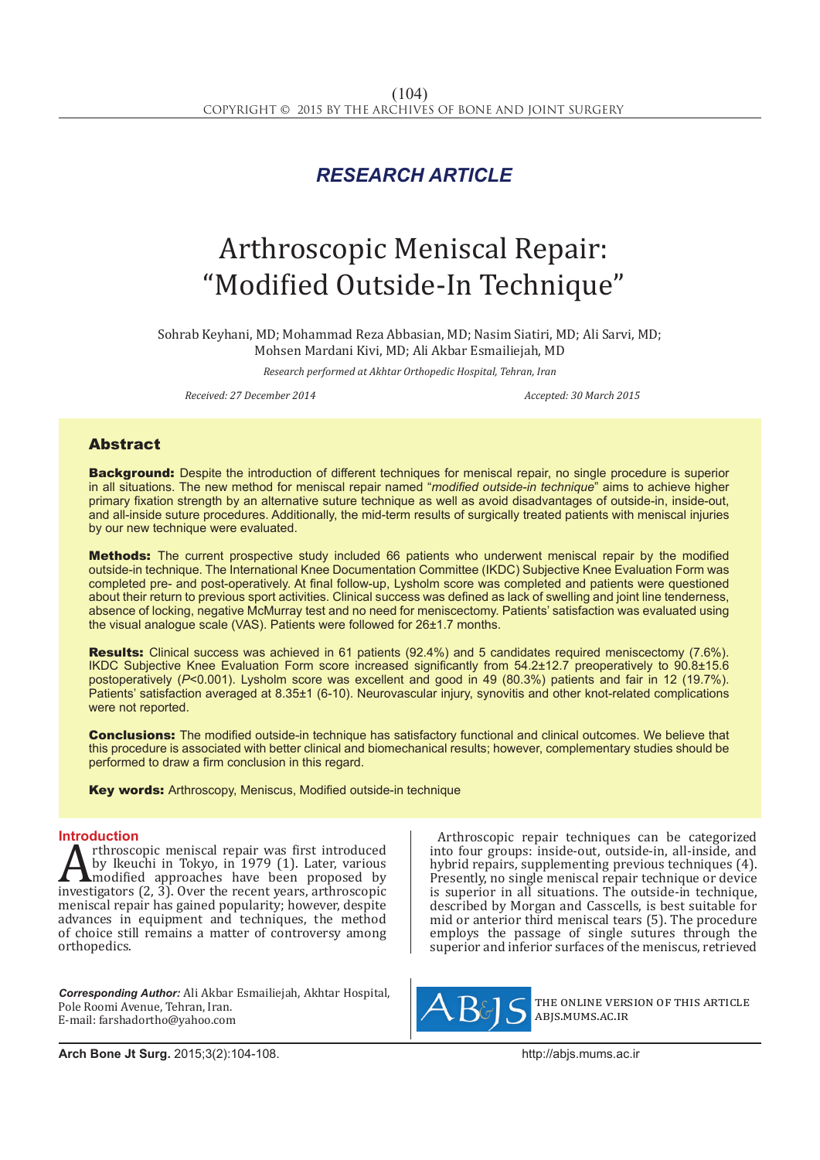## *RESEARCH ARTICLE*

# Arthroscopic Meniscal Repair: "Modified Outside-In Technique"

Sohrab Keyhani, MD; Mohammad Reza Abbasian, MD; Nasim Siatiri, MD; Ali Sarvi, MD; Mohsen Mardani Kivi, MD; Ali Akbar Esmailiejah, MD

*Research performed at Akhtar Orthopedic Hospital, Tehran, Iran*

*Received: 27 December 2014 Accepted: 30 March 2015*

### Abstract

**Background:** Despite the introduction of different techniques for meniscal repair, no single procedure is superior in all situations. The new method for meniscal repair named "*modified outside-in technique*" aims to achieve higher primary fixation strength by an alternative suture technique as well as avoid disadvantages of outside-in, inside-out, and all-inside suture procedures. Additionally, the mid-term results of surgically treated patients with meniscal injuries by our new technique were evaluated.

**Methods:** The current prospective study included 66 patients who underwent meniscal repair by the modified outside-in technique. The International Knee Documentation Committee (IKDC) Subjective Knee Evaluation Form was completed pre- and post-operatively. At final follow-up, Lysholm score was completed and patients were questioned about their return to previous sport activities. Clinical success was defined as lack of swelling and joint line tenderness, absence of locking, negative McMurray test and no need for meniscectomy. Patients' satisfaction was evaluated using the visual analogue scale (VAS). Patients were followed for 26±1.7 months.

Results: Clinical success was achieved in 61 patients (92.4%) and 5 candidates required meniscectomy (7.6%). IKDC Subjective Knee Evaluation Form score increased significantly from 54.2±12.7 preoperatively to 90.8±15.6 postoperatively (*P*<0.001). Lysholm score was excellent and good in 49 (80.3%) patients and fair in 12 (19.7%). Patients' satisfaction averaged at 8.35±1 (6-10). Neurovascular injury, synovitis and other knot-related complications were not reported.

**Conclusions:** The modified outside-in technique has satisfactory functional and clinical outcomes. We believe that this procedure is associated with better clinical and biomechanical results; however, complementary studies should be performed to draw a firm conclusion in this regard.

Key words: Arthroscopy, Meniscus, Modified outside-in technique

**Introduction**<br>**A** rthroscopic meniscal repair was first introduced Arthroscopic meniscal repair was first introduced<br>by Ikeuchi in Tokyo, in 1979 (1). Later, various<br>investigators (2, 3). Over the recent years, arthroscopic<br>meniscal repair bas gained popularity: however despite by Ikeuchi in Tokyo, in 1979 (1). Later, various modified approaches have been proposed by investigators (2, 3). Over the recent years, arthroscopic meniscal repair has gained popularity; however, despite advances in equipment and techniques, the method of choice still remains a matter of controversy among orthopedics.

*Corresponding Author:* Ali Akbar Esmailiejah, Akhtar Hospital, Pole Roomi Avenue, Tehran, Iran. E-mail: farshadortho@yahoo.com

Arthroscopic repair techniques can be categorized into four groups: inside-out, outside-in, all-inside, and hybrid repairs, supplementing previous techniques (4). Presently, no single meniscal repair technique or device is superior in all situations. The outside-in technique, described by Morgan and Casscells, is best suitable for mid or anterior third meniscal tears (5). The procedure employs the passage of single sutures through the superior and inferior surfaces of the meniscus, retrieved



the online version of this article abjs.mums.ac.ir

**Arch Bone Jt Surg.** 2015;3(2):104-108.http://abjs.mums.ac.ir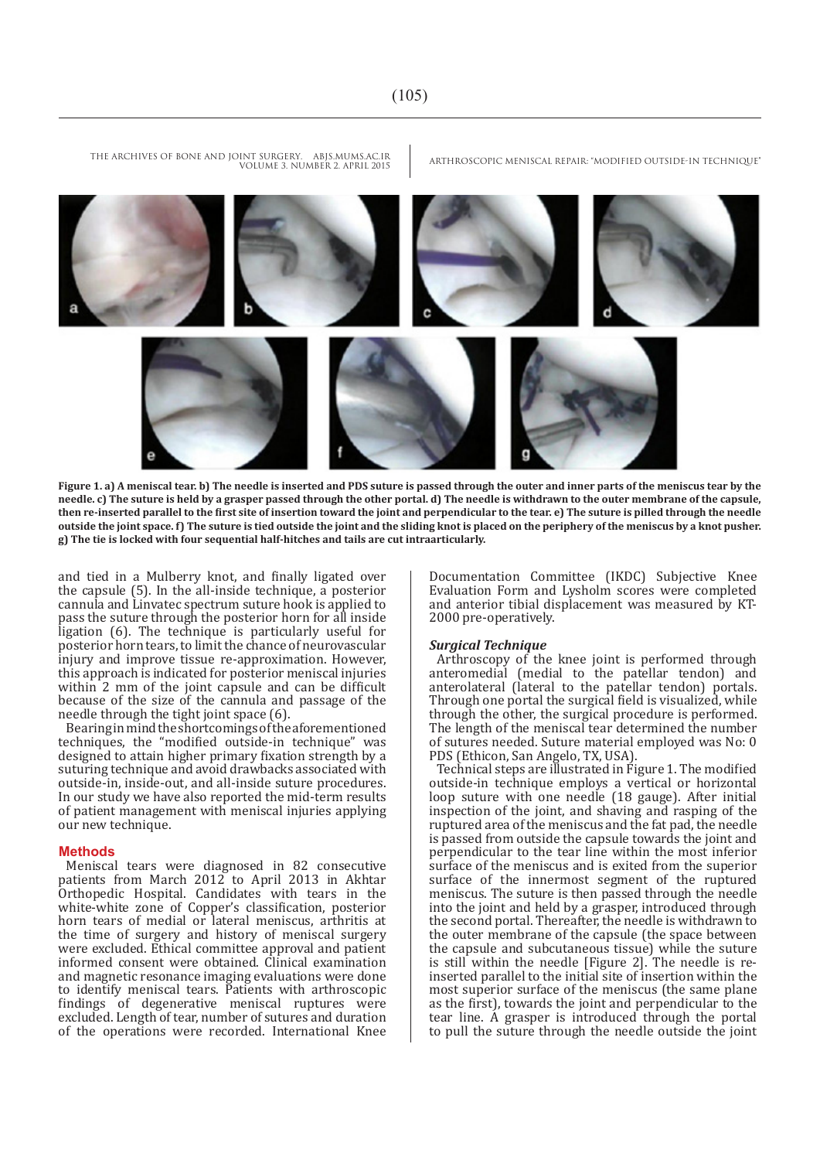

**Figure 1. a) A meniscal tear. b) The needle is inserted and PDS suture is passed through the outer and inner parts of the meniscus tear by the needle. c) The suture is held by a grasper passed through the other portal. d) The needle is withdrawn to the outer membrane of the capsule, then re-inserted parallel to the first site of insertion toward the joint and perpendicular to the tear. e) The suture is pilled through the needle outside the joint space. f) The suture is tied outside the joint and the sliding knot is placed on the periphery of the meniscus by a knot pusher. g) The tie is locked with four sequential half-hitches and tails are cut intraarticularly.**

and tied in a Mulberry knot, and finally ligated over the capsule (5). In the all-inside technique, a posterior cannula and Linvatec spectrum suture hook is applied to pass the suture through the posterior horn for all inside ligation (6). The technique is particularly useful for posterior horn tears, to limit the chance of neurovascular injury and improve tissue re-approximation. However, this approach is indicated for posterior meniscal injuries within 2 mm of the joint capsule and can be difficult because of the size of the cannula and passage of the needle through the tight joint space (6).

Bearing in mind the shortcomings of the aforementioned techniques, the "modified outside-in technique" was designed to attain higher primary fixation strength by a suturing technique and avoid drawbacks associated with outside-in, inside-out, and all-inside suture procedures. In our study we have also reported the mid-term results of patient management with meniscal injuries applying our new technique.

#### **Methods**

Meniscal tears were diagnosed in 82 consecutive patients from March 2012 to April 2013 in Akhtar Orthopedic Hospital. Candidates with tears in the white-white zone of Copper's classification, posterior horn tears of medial or lateral meniscus, arthritis at the time of surgery and history of meniscal surgery were excluded. Ethical committee approval and patient informed consent were obtained. Clinical examination and magnetic resonance imaging evaluations were done to identify meniscal tears. Patients with arthroscopic findings of degenerative meniscal ruptures were excluded. Length of tear, number of sutures and duration of the operations were recorded. International Knee

Documentation Committee (IKDC) Subjective Knee Evaluation Form and Lysholm scores were completed and anterior tibial displacement was measured by KT-2000 pre-operatively.

#### *Surgical Technique*

Arthroscopy of the knee joint is performed through anteromedial (medial to the patellar tendon) and anterolateral (lateral to the patellar tendon) portals. Through one portal the surgical field is visualized, while through the other, the surgical procedure is performed. The length of the meniscal tear determined the number of sutures needed. Suture material employed was No: 0 PDS (Ethicon, San Angelo, TX, USA).

Technical steps are illustrated in Figure 1. The modified outside-in technique employs a vertical or horizontal loop suture with one needle (18 gauge). After initial inspection of the joint, and shaving and rasping of the ruptured area of the meniscus and the fat pad, the needle is passed from outside the capsule towards the joint and perpendicular to the tear line within the most inferior surface of the meniscus and is exited from the superior surface of the innermost segment of the ruptured meniscus. The suture is then passed through the needle into the joint and held by a grasper, introduced through the second portal. Thereafter, the needle is withdrawn to the outer membrane of the capsule (the space between the capsule and subcutaneous tissue) while the suture is still within the needle [Figure 2]. The needle is reinserted parallel to the initial site of insertion within the most superior surface of the meniscus (the same plane as the first), towards the joint and perpendicular to the tear line. A grasper is introduced through the portal to pull the suture through the needle outside the joint

THE ARCHIVES OF BONE AND JOINT SURGERY. ABJS.MUMS.AC.IR ARTHROSCOPIC MENISCAL REPAIR: "MODIFIED OUTSIDE-IN TECHNIQUE" VOLUME 3. NUMBER 2. APRIL 2015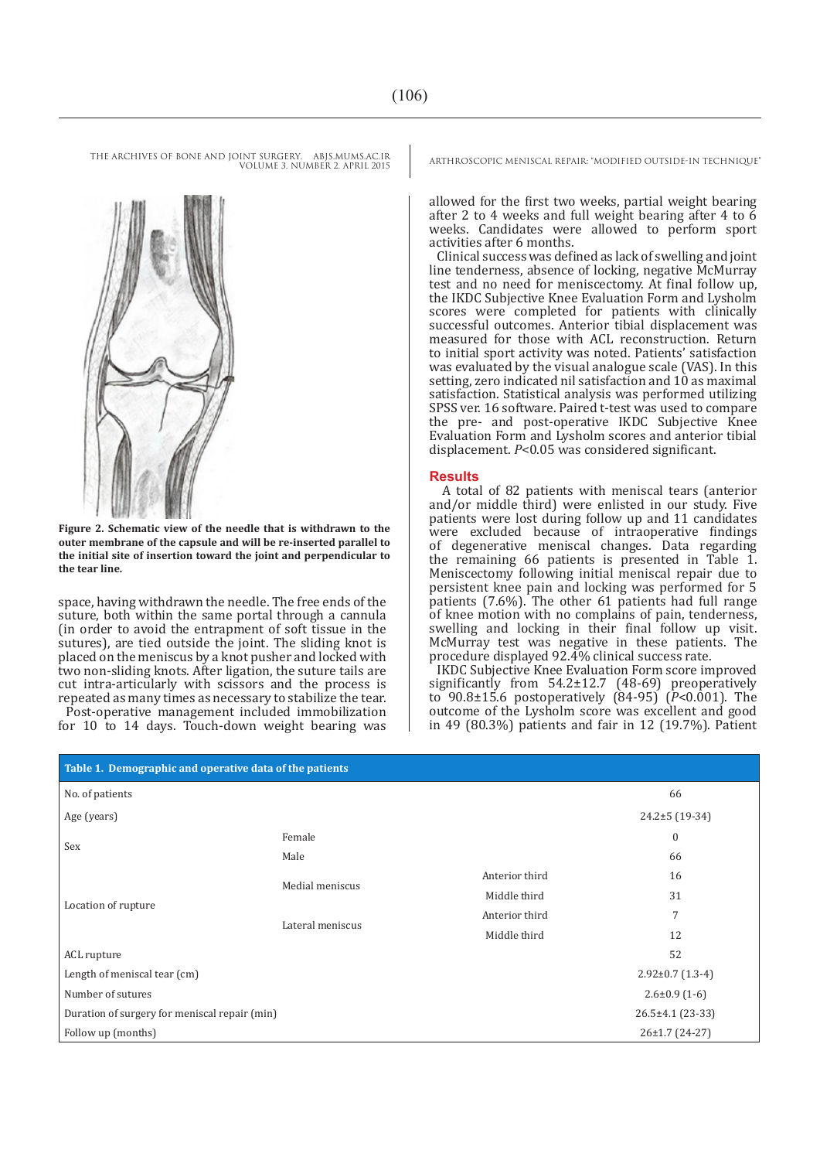VOLUME 3. NUMBER 2. APRIL 2015



**Figure 2. Schematic view of the needle that is withdrawn to the outer membrane of the capsule and will be re-inserted parallel to the initial site of insertion toward the joint and perpendicular to the tear line.**

space, having withdrawn the needle. The free ends of the suture, both within the same portal through a cannula (in order to avoid the entrapment of soft tissue in the sutures), are tied outside the joint. The sliding knot is placed on the meniscus by a knot pusher and locked with two non-sliding knots. After ligation, the suture tails are cut intra-articularly with scissors and the process is repeated as many times as necessary to stabilize the tear.

Post-operative management included immobilization for 10 to 14 days. Touch-down weight bearing was

THE ARCHIVES OF BONE AND JOINT SURGERY. ABJS.MUMS.AC.IR ARTHROSCOPIC MENISCAL REPAIR: "MODIFIED OUTSIDE-IN TECHNIQUE"

allowed for the first two weeks, partial weight bearing after 2 to 4 weeks and full weight bearing after 4 to 6 weeks. Candidates were allowed to perform sport activities after 6 months.

Clinical success was defined as lack of swelling and joint line tenderness, absence of locking, negative McMurray test and no need for meniscectomy. At final follow up, the IKDC Subjective Knee Evaluation Form and Lysholm scores were completed for patients with clinically successful outcomes. Anterior tibial displacement was measured for those with ACL reconstruction. Return to initial sport activity was noted. Patients' satisfaction was evaluated by the visual analogue scale (VAS). In this setting, zero indicated nil satisfaction and 10 as maximal satisfaction. Statistical analysis was performed utilizing SPSS ver. 16 software. Paired t-test was used to compare the pre- and post-operative IKDC Subjective Knee Evaluation Form and Lysholm scores and anterior tibial displacement. *P*<0.05 was considered significant.

#### **Results**

 A total of 82 patients with meniscal tears (anterior and/or middle third) were enlisted in our study. Five patients were lost during follow up and 11 candidates were excluded because of intraoperative findings of degenerative meniscal changes. Data regarding the remaining 66 patients is presented in Table 1. Meniscectomy following initial meniscal repair due to persistent knee pain and locking was performed for 5 patients (7.6%). The other 61 patients had full range of knee motion with no complains of pain, tenderness, swelling and locking in their final follow up visit. McMurray test was negative in these patients. The procedure displayed 92.4% clinical success rate.

IKDC Subjective Knee Evaluation Form score improved significantly from  $54.2 \pm 12.7$  (48-69) preoperatively to 90.8±15.6 postoperatively (84-95) (*P*<0.001). The outcome of the Lysholm score was excellent and good in 49 (80.3%) patients and fair in 12 (19.7%). Patient

| Table 1. Demographic and operative data of the patients |                  |                |                        |
|---------------------------------------------------------|------------------|----------------|------------------------|
| No. of patients                                         |                  |                | 66                     |
| Age (years)                                             |                  |                | $24.2 \pm 5(19-34)$    |
| Sex                                                     | Female           |                | $\mathbf{0}$           |
|                                                         | Male             |                | 66                     |
| Location of rupture                                     | Medial meniscus  | Anterior third | 16                     |
|                                                         |                  | Middle third   | 31                     |
|                                                         | Lateral meniscus | Anterior third | 7                      |
|                                                         |                  | Middle third   | 12                     |
| ACL rupture                                             |                  |                | 52                     |
| Length of meniscal tear (cm)                            |                  |                | $2.92 \pm 0.7$ (1.3-4) |
| Number of sutures                                       |                  |                | $2.6\pm0.9(1-6)$       |
| Duration of surgery for meniscal repair (min)           |                  |                | 26.5±4.1 (23-33)       |
| Follow up (months)                                      |                  |                | $26 \pm 1.7$ (24-27)   |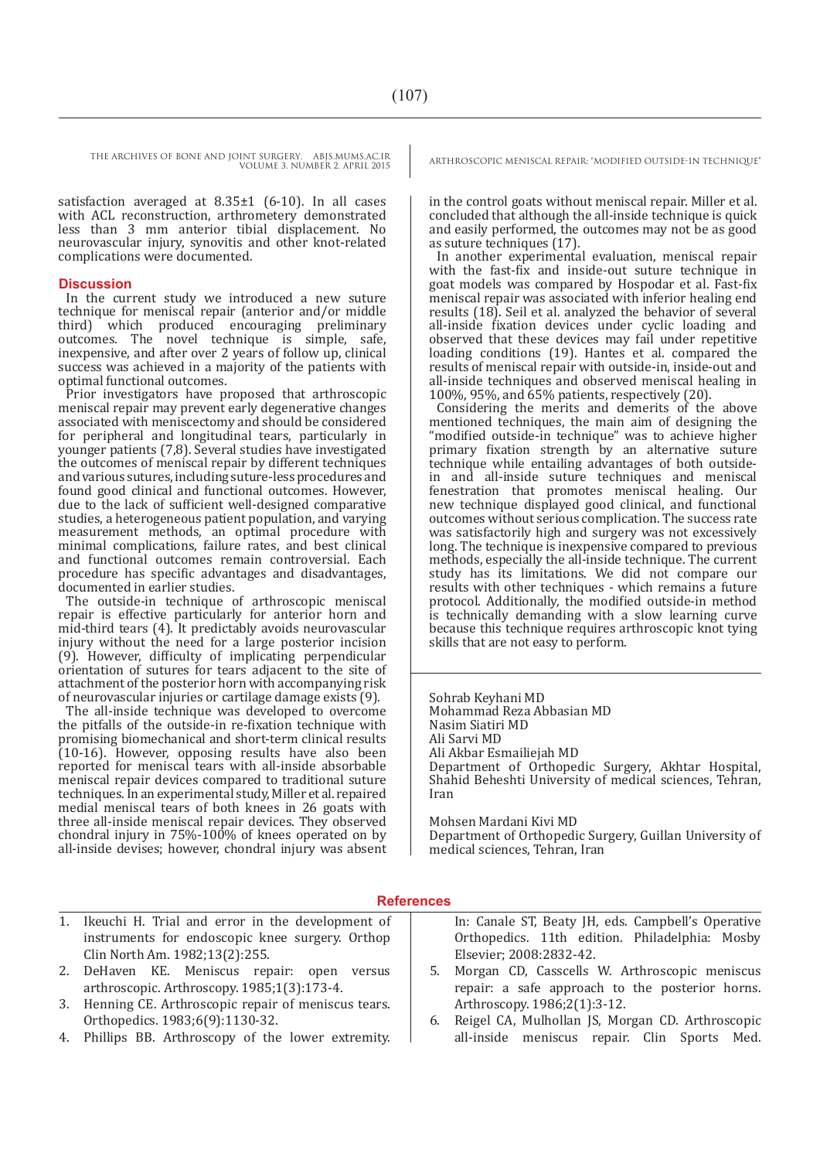THE ARCHIVES OF BONE AND JOINT SURGERY. ABJS.MUMS.AC.IR ARTHROSCOPIC MENISCAL REPAIR: "MODIFIED OUTSIDE-IN TECHNIQUE" VOLUME 3. NUMBER 2. APRIL 2015

satisfaction averaged at 8.35±1 (6-10). In all cases with ACL reconstruction, arthrometery demonstrated less than 3 mm anterior tibial displacement. No neurovascular injury, synovitis and other knot-related complications were documented.

#### **Discussion**

In the current study we introduced a new suture technique for meniscal repair (anterior and/or middle third) which produced encouraging preliminary outcomes. The novel technique is simple, safe, inexpensive, and after over 2 years of follow up, clinical success was achieved in a majority of the patients with optimal functional outcomes.

Prior investigators have proposed that arthroscopic meniscal repair may prevent early degenerative changes associated with meniscectomy and should be considered for peripheral and longitudinal tears, particularly in younger patients (7,8). Several studies have investigated the outcomes of meniscal repair by different techniques and various sutures, including suture-less procedures and found good clinical and functional outcomes. However, due to the lack of sufficient well-designed comparative studies, a heterogeneous patient population, and varying measurement methods, an optimal procedure with minimal complications, failure rates, and best clinical and functional outcomes remain controversial. Each procedure has specific advantages and disadvantages, documented in earlier studies.

The outside-in technique of arthroscopic meniscal repair is effective particularly for anterior horn and mid-third tears (4). It predictably avoids neurovascular injury without the need for a large posterior incision (9). However, difficulty of implicating perpendicular orientation of sutures for tears adjacent to the site of attachment of the posterior horn with accompanying risk of neurovascular injuries or cartilage damage exists (9).

The all-inside technique was developed to overcome the pitfalls of the outside-in re-fixation technique with promising biomechanical and short-term clinical results (10-16). However, opposing results have also been reported for meniscal tears with all-inside absorbable meniscal repair devices compared to traditional suture techniques. In an experimental study, Miller et al. repaired medial meniscal tears of both knees in 26 goats with three all-inside meniscal repair devices. They observed chondral injury in  $75\% - 100\%$  of knees operated on by all-inside devises; however, chondral injury was absent

in the control goats without meniscal repair. Miller et al. concluded that although the all-inside technique is quick and easily performed, the outcomes may not be as good as suture techniques (17).

In another experimental evaluation, meniscal repair with the fast-fix and inside-out suture technique in goat models was compared by Hospodar et al. Fast-fix meniscal repair was associated with inferior healing end results (18). Seil et al. analyzed the behavior of several all-inside fixation devices under cyclic loading and observed that these devices may fail under repetitive loading conditions (19). Hantes et al. compared the results of meniscal repair with outside-in, inside-out and all-inside techniques and observed meniscal healing in 100%, 95%, and 65% patients, respectively (20).

Considering the merits and demerits of the above mentioned techniques, the main aim of designing the "modified outside-in technique" was to achieve higher primary fixation strength by an alternative suture technique while entailing advantages of both outsidein and all-inside suture techniques and meniscal fenestration that promotes meniscal healing. Our new technique displayed good clinical, and functional outcomes without serious complication. The success rate was satisfactorily high and surgery was not excessively long. The technique is inexpensive compared to previous methods, especially the all-inside technique. The current study has its limitations. We did not compare our results with other techniques - which remains a future protocol. Additionally, the modified outside-in method is technically demanding with a slow learning curve because this technique requires arthroscopic knot tying skills that are not easy to perform.

Sohrab Keyhani MD Mohammad Reza Abbasian MD Nasim Siatiri MD Ali Sarvi MD Ali Akbar Esmailiejah MD Department of Orthopedic Surgery, Akhtar Hospital, Shahid Beheshti University of medical sciences, Tehran, Iran

Mohsen Mardani Kivi MD Department of Orthopedic Surgery, Guillan University of medical sciences, Tehran, Iran

#### **References**

- 1. Ikeuchi H. Trial and error in the development of instruments for endoscopic knee surgery. Orthop Clin North Am. 1982;13(2):255.
- 2. DeHaven KE. Meniscus repair: open versus arthroscopic. Arthroscopy. 1985;1(3):173-4.
- 3. Henning CE. Arthroscopic repair of meniscus tears. Orthopedics. 1983;6(9):1130-32.
- 4. Phillips BB. Arthroscopy of the lower extremity.

In: Canale ST, Beaty JH, eds. Campbell's Operative Orthopedics. 11th edition. Philadelphia: Mosby Elsevier; 2008:2832-42.

- 5. Morgan CD, Casscells W. Arthroscopic meniscus repair: a safe approach to the posterior horns. Arthroscopy. 1986;2(1):3-12.
- 6. Reigel CA, Mulhollan JS, Morgan CD. Arthroscopic all-inside meniscus repair. Clin Sports Med.